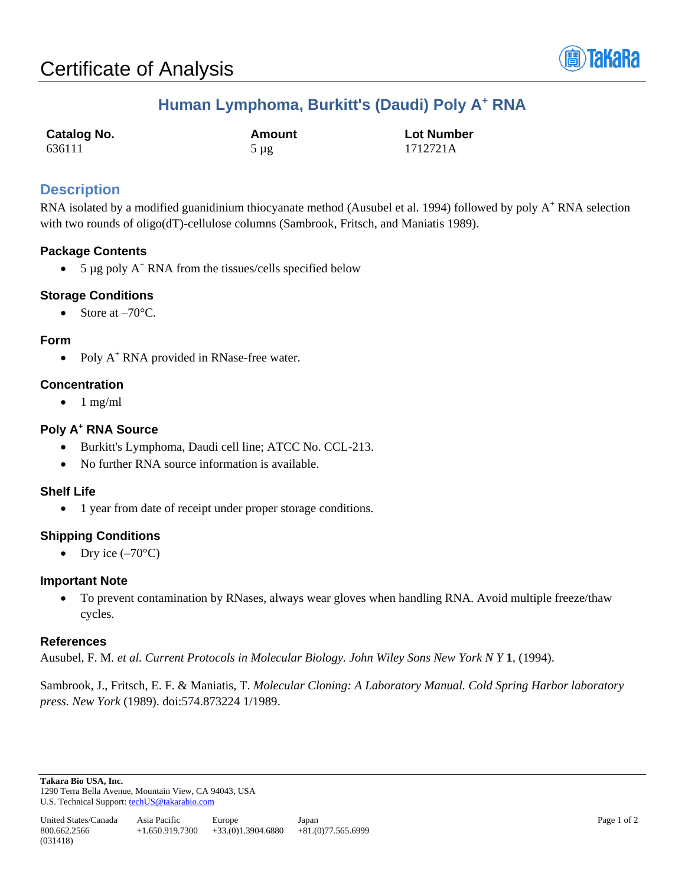

# **Human Lymphoma, Burkitt's (Daudi) Poly A<sup>+</sup> RNA**

| <b>Catalog No.</b> | Amount | <b>Lot Number</b> |
|--------------------|--------|-------------------|
| 636111             | 5 µg   | 1712721A          |

## **Description**

RNA isolated by a modified guanidinium thiocyanate method (Ausubel et al. 1994) followed by poly A<sup>+</sup> RNA selection with two rounds of oligo(dT)-cellulose columns (Sambrook, Fritsch, and Maniatis 1989).

## **Package Contents**

• 5  $\mu$ g poly A<sup>+</sup> RNA from the tissues/cells specified below

#### **Storage Conditions**

Store at  $-70^{\circ}$ C.

#### **Form**

• Poly A<sup>+</sup> RNA provided in RNase-free water.

#### **Concentration**

 $\bullet$  1 mg/ml

#### **Poly A<sup>+</sup> RNA Source**

- Burkitt's Lymphoma, Daudi cell line; ATCC No. CCL-213.
- No further RNA source information is available.

#### **Shelf Life**

• 1 year from date of receipt under proper storage conditions.

## **Shipping Conditions**

• Dry ice  $(-70^{\circ}C)$ 

#### **Important Note**

• To prevent contamination by RNases, always wear gloves when handling RNA. Avoid multiple freeze/thaw cycles.

#### **References**

Ausubel, F. M. *et al. Current Protocols in Molecular Biology. John Wiley Sons New York N Y* **1**, (1994).

Sambrook, J., Fritsch, E. F. & Maniatis, T. *Molecular Cloning: A Laboratory Manual. Cold Spring Harbor laboratory press. New York* (1989). doi:574.873224 1/1989.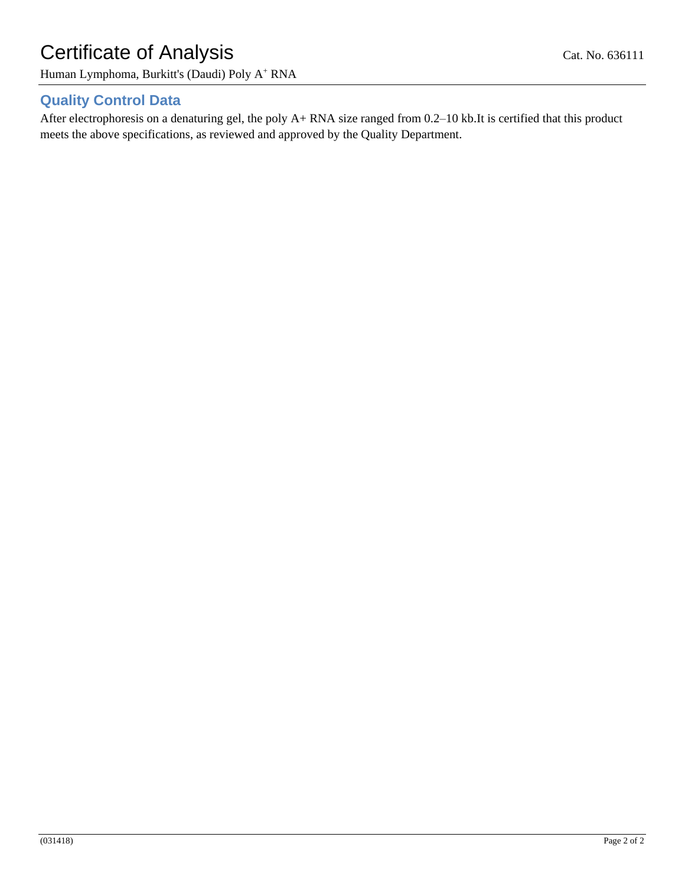# Certificate of Analysis Cat. No. 636111

Human Lymphoma, Burkitt's (Daudi) Poly A<sup>+</sup> RNA

## **Quality Control Data**

After electrophoresis on a denaturing gel, the poly A+ RNA size ranged from 0.2–10 kb.It is certified that this product meets the above specifications, as reviewed and approved by the Quality Department.